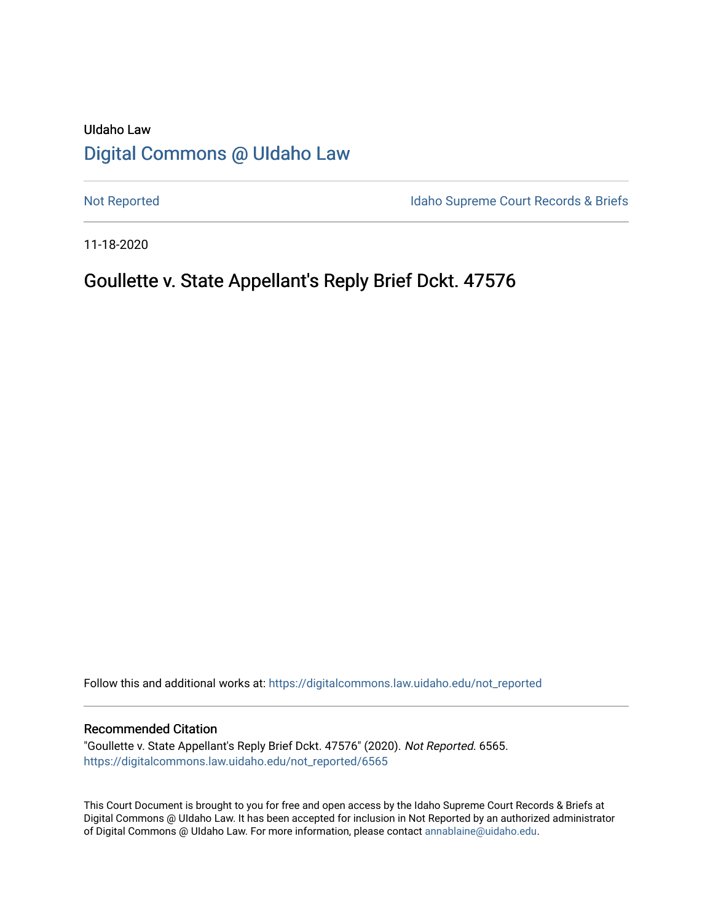# UIdaho Law [Digital Commons @ UIdaho Law](https://digitalcommons.law.uidaho.edu/)

[Not Reported](https://digitalcommons.law.uidaho.edu/not_reported) **Idaho Supreme Court Records & Briefs** 

11-18-2020

# Goullette v. State Appellant's Reply Brief Dckt. 47576

Follow this and additional works at: [https://digitalcommons.law.uidaho.edu/not\\_reported](https://digitalcommons.law.uidaho.edu/not_reported?utm_source=digitalcommons.law.uidaho.edu%2Fnot_reported%2F6565&utm_medium=PDF&utm_campaign=PDFCoverPages) 

### Recommended Citation

"Goullette v. State Appellant's Reply Brief Dckt. 47576" (2020). Not Reported. 6565. [https://digitalcommons.law.uidaho.edu/not\\_reported/6565](https://digitalcommons.law.uidaho.edu/not_reported/6565?utm_source=digitalcommons.law.uidaho.edu%2Fnot_reported%2F6565&utm_medium=PDF&utm_campaign=PDFCoverPages)

This Court Document is brought to you for free and open access by the Idaho Supreme Court Records & Briefs at Digital Commons @ UIdaho Law. It has been accepted for inclusion in Not Reported by an authorized administrator of Digital Commons @ UIdaho Law. For more information, please contact [annablaine@uidaho.edu](mailto:annablaine@uidaho.edu).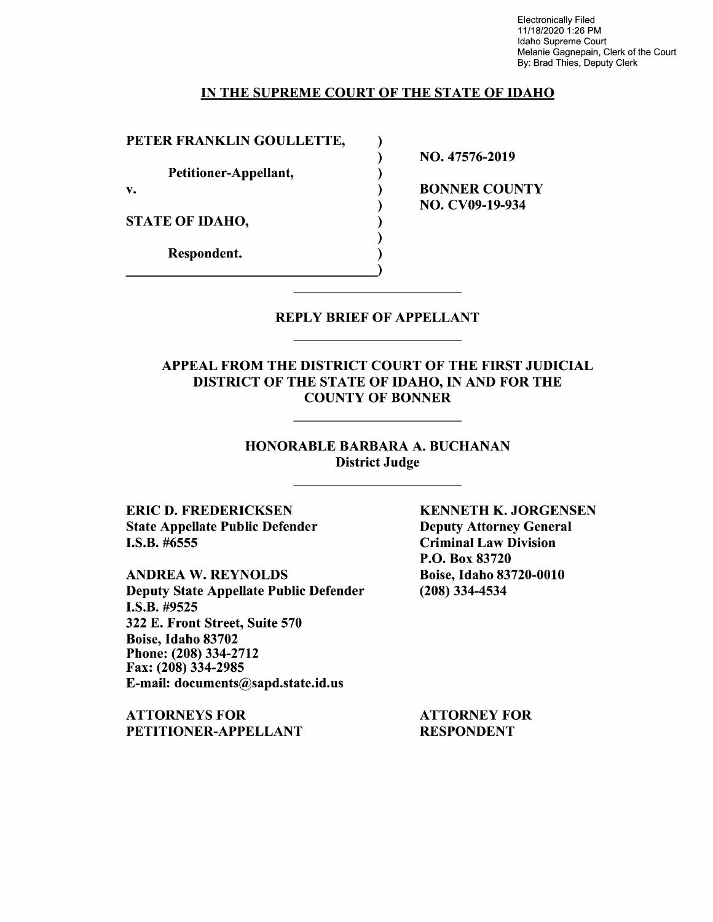Electronically Filed 11/18/2020 1 :26 PM Idaho Supreme Court Melanie Gagnepain, Clerk of the Court By: Brad Thies, Deputy Clerk

### IN THE SUPREME COURT OF THE STATE OF IDAHO

) ) ) ) ) ) ) )

PETER FRANKLIN GOULLETTE,

Petitioner-Appellant,

v.

STATE OF IDAHO,

Respondent.

NO. 47576-2019

BONNER COUNTY NO. CV09-19-934

REPLY BRIEF OF APPELLANT

APPEAL FROM THE DISTRICT COURT OF THE FIRST JUDICIAL DISTRICT OF THE STATE OF IDAHO, IN AND FOR THE COUNTY OF BONNER

> HONORABLE BARBARA A. BUCHANAN District Judge

ERIC D. FREDERICKSEN State Appellate Public Defender I.S.B. #6555

**ANDREA W. REYNOLDS**  Deputy State Appellate Public Defender **I.S.B.** #9525 322 E. Front Street, Suite 570 Boise, Idaho 83702 Phone:(208)334-2712 Fax: (208) 334-2985 E-mail: documents@sapd.state.id.us

**ATTORNEYS FOR PETITIONER-APPELLANT**  **KENNETH K. JORGENSEN**  Deputy Attorney General Criminal Law Division P.O. Box 83720 Boise, Idaho 83720-0010 (208) 334-4534

ATTORNEY FOR RESPONDENT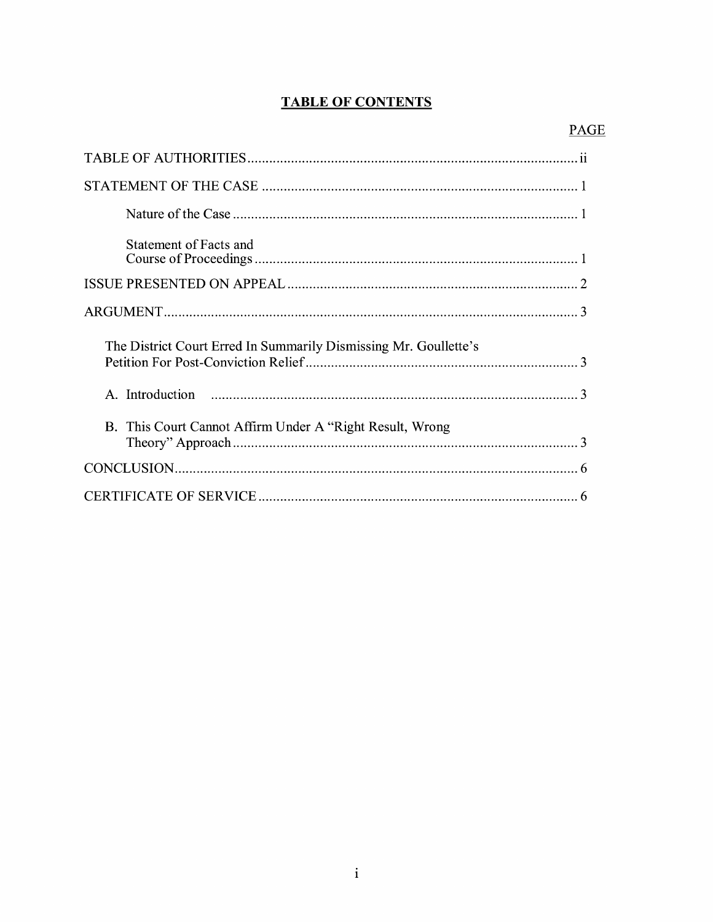## **TABLE OF CONTENTS**

| Statement of Facts and                                           |
|------------------------------------------------------------------|
|                                                                  |
|                                                                  |
|                                                                  |
| The District Court Erred In Summarily Dismissing Mr. Goullette's |
|                                                                  |
| B. This Court Cannot Affirm Under A "Right Result, Wrong         |
|                                                                  |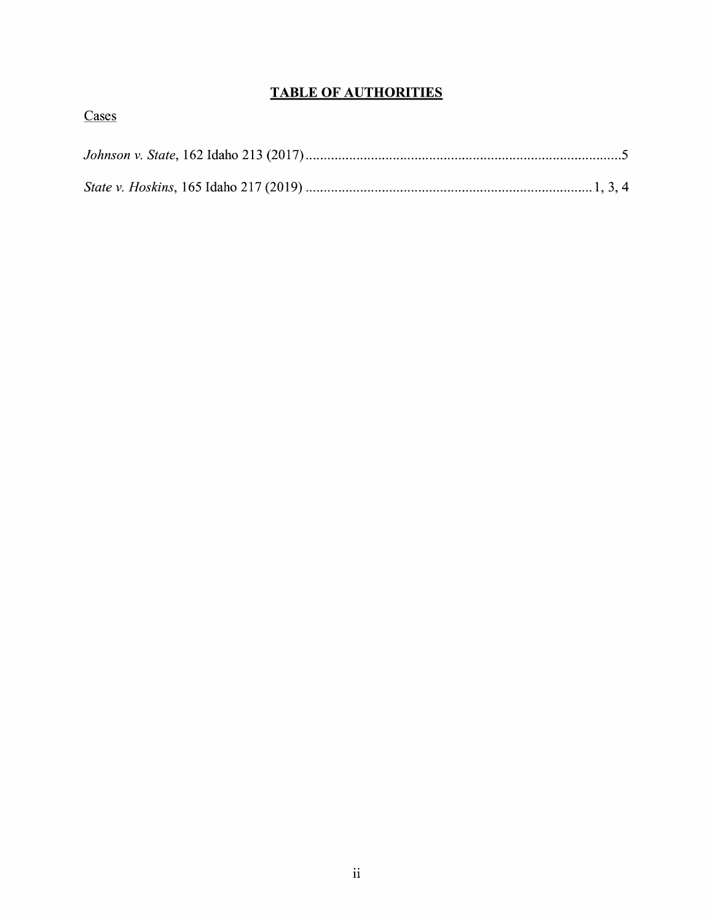## **TABLE OF AUTHORITIES**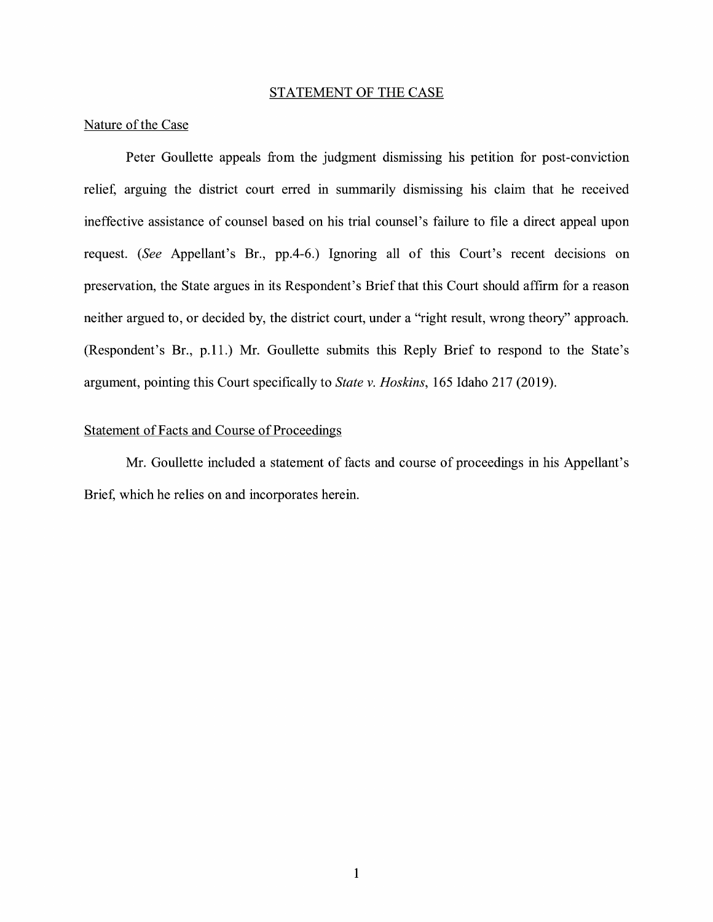#### STATEMENT OF THE CASE

## Nature of the Case

Peter Goullette appeals from the judgment dismissing his petition for post-conviction relief, arguing the district court erred in summarily dismissing his claim that he received ineffective assistance of counsel based on his trial counsel's failure to file a direct appeal upon request. *(See* Appellant's Br., pp.4-6.) Ignoring all of this Court's recent decisions on preservation, the State argues in its Respondent's Brief that this Court should affirm for a reason neither argued to, or decided by, the district court, under a "right result, wrong theory" approach. (Respondent's Br., p.11.) Mr. Goullette submits this Reply Brief to respond to the State's argument, pointing this Court specifically to *State v. Hoskins,* 165 Idaho 217 (2019).

## Statement of Facts and Course of Proceedings

Mr. Goullette included a statement of facts and course of proceedings in his Appellant's Brief, which he relies on and incorporates herein.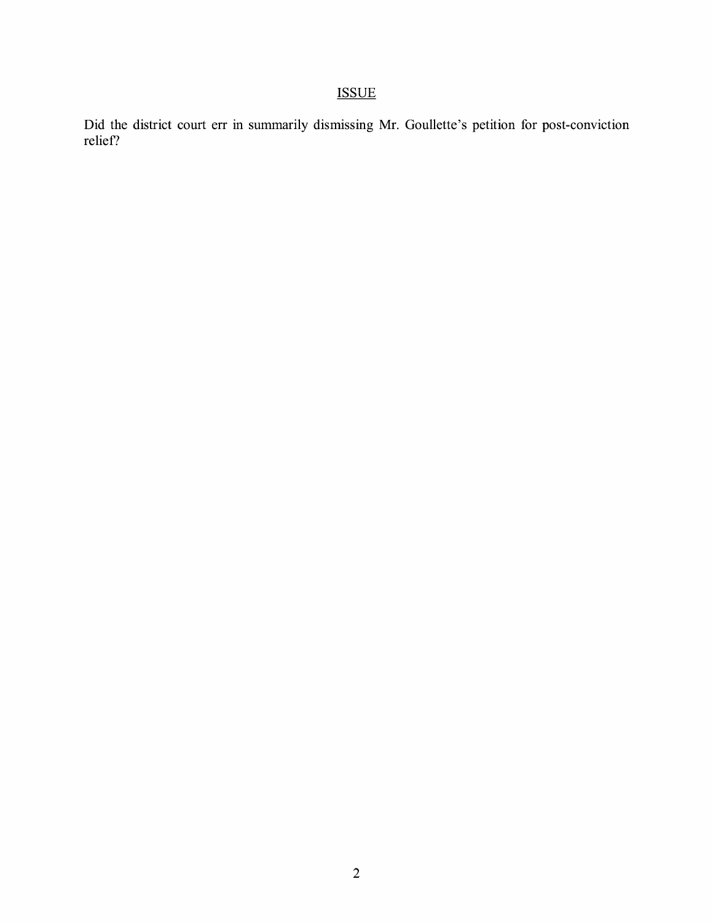# ISSUE

Did the district court err in summarily dismissing Mr. Goullette's petition for post-conviction relief?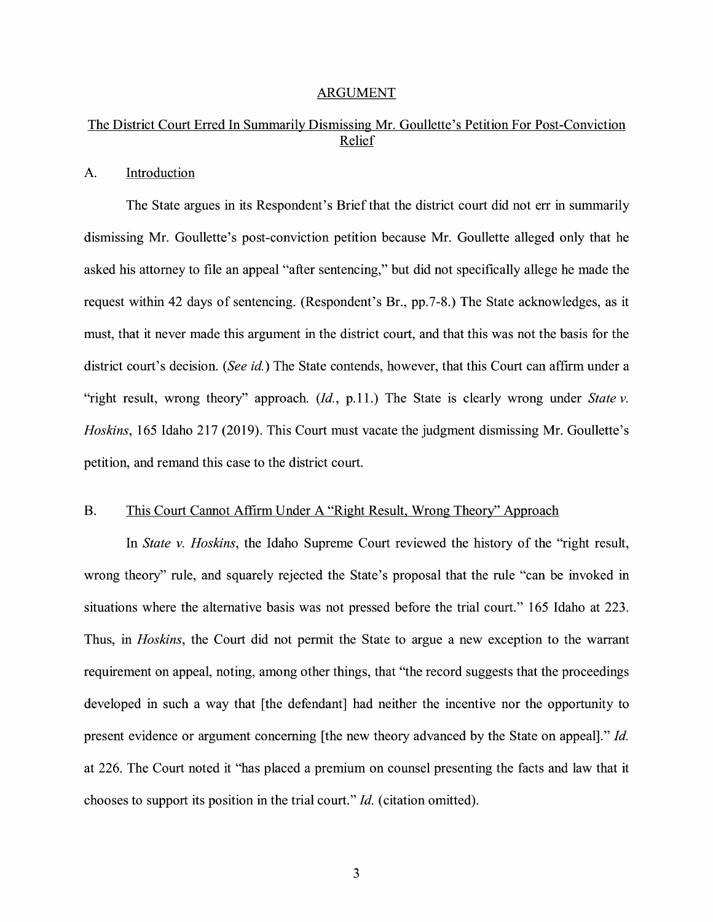#### ARGUMENT

## The District Court Erred In Summarily Dismissing Mr. Goullette's Petition For Post-Conviction Relief

## A. Introduction

The State argues in its Respondent's Brief that the district court did not err in summarily dismissing Mr. Goullette's post-conviction petition because Mr. Goullette alleged only that he asked his attorney to file an appeal "after sentencing," but did not specifically allege he made the request within 42 days of sentencing. (Respondent's Br., pp.7-8.) The State acknowledges, as it must, that it never made this argument in the district court, and that this was not the basis for the district court's decision. *(See id.)* The State contends, however, that this Court can affirm under a "right result, wrong theory" approach. *(Id., p.11.)* The State is clearly wrong under *State v. Hoskins,* 165 Idaho 217 (2019). This Court must vacate the judgment dismissing Mr. Goullette's petition, and remand this case to the district court.

### B. This Court Cannot Affirm Under A "Right Result, Wrong Theory" Approach

In *State v. Hoskins,* the Idaho Supreme Court reviewed the history of the "right result, wrong theory" rule, and squarely rejected the State's proposal that the rule "can be invoked in situations where the alternative basis was not pressed before the trial court." 165 Idaho at 223. Thus, in *Hoskins,* the Court did not permit the State to argue a new exception to the warrant requirement on appeal, noting, among other things, that "the record suggests that the proceedings developed in such a way that [the defendant] had neither the incentive nor the opportunity to present evidence or argument concerning [the new theory advanced by the State on appeal]." *Id.*  at 226. The Court noted it "has placed a premium on counsel presenting the facts and law that it chooses to support its position in the trial court." *Id.* ( citation omitted).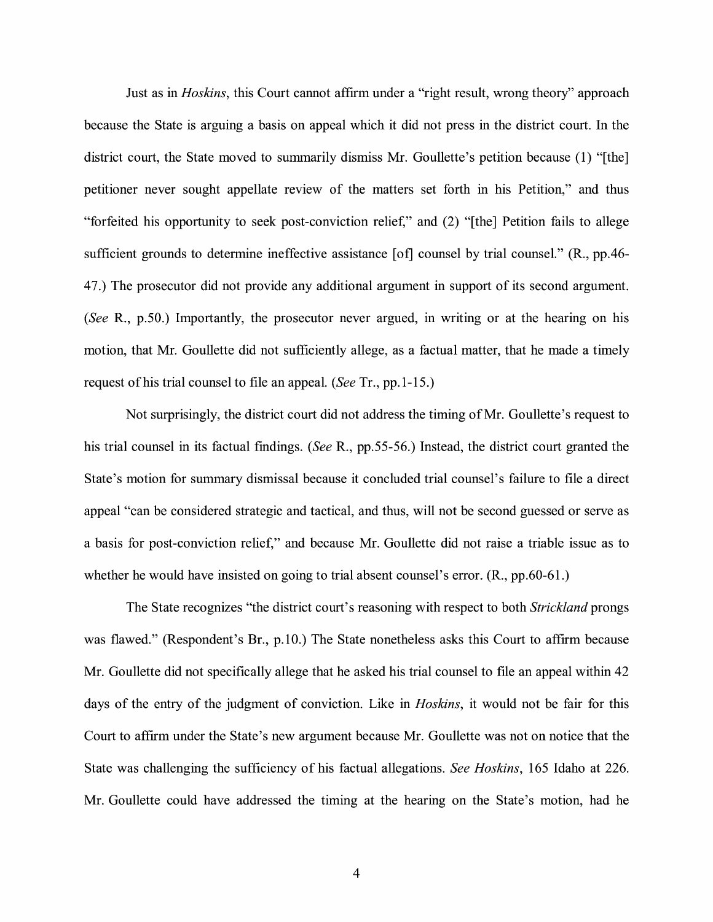Just as in *Hoskins,* this Court cannot affirm under a "right result, wrong theory" approach because the State is arguing a basis on appeal which it did not press in the district court. In the district court, the State moved to summarily dismiss Mr. Goullette's petition because (1) "[the] petitioner never sought appellate review of the matters set forth in his Petition," and thus "forfeited his opportunity to seek post-conviction relief," and (2) "[the] Petition fails to allege sufficient grounds to determine ineffective assistance [of] counsel by trial counsel." (R., pp.46-4 7.) The prosecutor did not provide any additional argument in support of its second argument. *(See* R., p.50.) Importantly, the prosecutor never argued, in writing or at the hearing on his motion, that Mr. Goullette did not sufficiently allege, as a factual matter, that he made a timely request ofhis trial counsel to file an appeal. *(See* Tr., pp.1-15.)

Not surprisingly, the district court did not address the timing of Mr. Goullette's request to his trial counsel in its factual findings. *(See* R., pp.55-56.) Instead, the district court granted the State's motion for summary dismissal because it concluded trial counsel's failure to file a direct appeal "can be considered strategic and tactical, and thus, will not be second guessed or serve as a basis for post-conviction relief," and because Mr. Goullette did not raise a triable issue as to whether he would have insisted on going to trial absent counsel's error. (R., pp.60-61.)

The State recognizes "the district court's reasoning with respect to both *Strickland* prongs was flawed." (Respondent's Br., p.10.) The State nonetheless asks this Court to affirm because Mr. Goullette did not specifically allege that he asked his trial counsel to file an appeal within 42 days of the entry of the judgment of conviction. Like in *Hoskins,* it would not be fair for this Court to affirm under the State's new argument because Mr. Goullette was not on notice that the State was challenging the sufficiency of his factual allegations. *See Hoskins,* 165 Idaho at 226. Mr. Goullette could have addressed the timing at the hearing on the State's motion, had he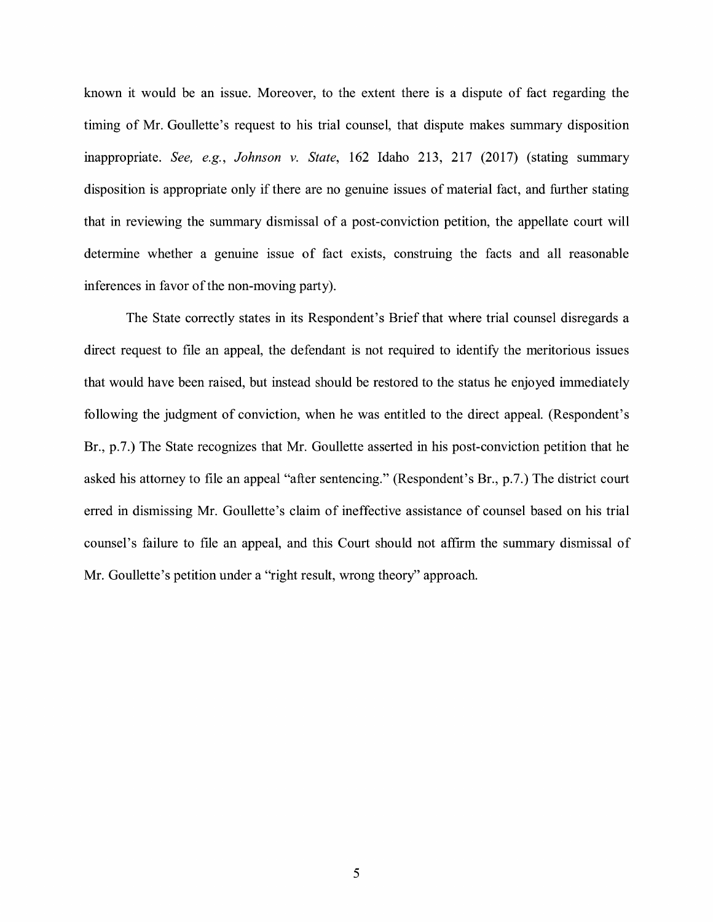known it would be an issue. Moreover, to the extent there is a dispute of fact regarding the timing of Mr. Goullette's request to his trial counsel, that dispute makes summary disposition inappropriate. *See, e.g., Johnson v. State,* 162 Idaho 213, 217 (2017) (stating summary disposition is appropriate only if there are no genuine issues of material fact, and further stating that in reviewing the summary dismissal of a post-conviction petition, the appellate court will determine whether a genuine issue of fact exists, construing the facts and all reasonable inferences in favor of the non-moving party).

The State correctly states in its Respondent's Brief that where trial counsel disregards a direct request to file an appeal, the defendant is not required to identify the meritorious issues that would have been raised, but instead should be restored to the status he enjoyed immediately following the judgment of conviction, when he was entitled to the direct appeal. (Respondent's Br., p.7.) The State recognizes that Mr. Goullette asserted in his post-conviction petition that he asked his attorney to file an appeal "after sentencing." (Respondent's Br., p.7.) The district court erred in dismissing Mr. Goullette's claim of ineffective assistance of counsel based on his trial counsel's failure to file an appeal, and this Court should not affirm the summary dismissal of Mr. Goullette's petition under a "right result, wrong theory" approach.